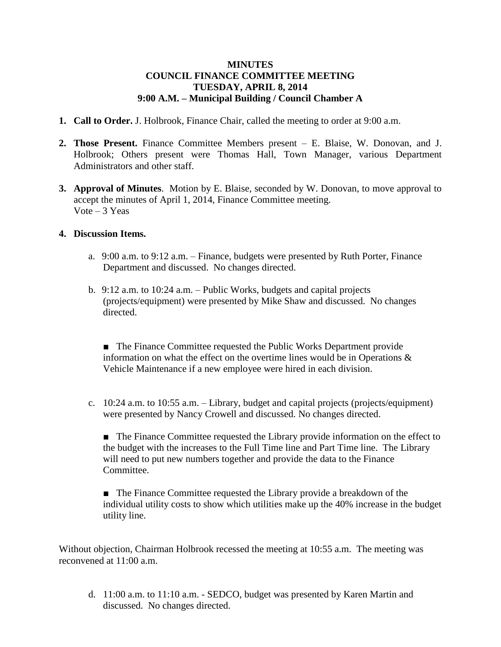## **MINUTES COUNCIL FINANCE COMMITTEE MEETING TUESDAY, APRIL 8, 2014 9:00 A.M. – Municipal Building / Council Chamber A**

- **1. Call to Order.** J. Holbrook, Finance Chair, called the meeting to order at 9:00 a.m.
- **2. Those Present.** Finance Committee Members present E. Blaise, W. Donovan, and J. Holbrook; Others present were Thomas Hall, Town Manager, various Department Administrators and other staff.
- **3. Approval of Minutes**. Motion by E. Blaise, seconded by W. Donovan, to move approval to accept the minutes of April 1, 2014, Finance Committee meeting. Vote  $-3$  Yeas

## **4. Discussion Items.**

- a. 9:00 a.m. to 9:12 a.m. Finance, budgets were presented by Ruth Porter, Finance Department and discussed. No changes directed.
- b. 9:12 a.m. to 10:24 a.m. Public Works, budgets and capital projects (projects/equipment) were presented by Mike Shaw and discussed. No changes directed.

■ The Finance Committee requested the Public Works Department provide information on what the effect on the overtime lines would be in Operations & Vehicle Maintenance if a new employee were hired in each division.

c. 10:24 a.m. to 10:55 a.m. – Library, budget and capital projects (projects/equipment) were presented by Nancy Crowell and discussed. No changes directed.

■ The Finance Committee requested the Library provide information on the effect to the budget with the increases to the Full Time line and Part Time line. The Library will need to put new numbers together and provide the data to the Finance Committee.

■ The Finance Committee requested the Library provide a breakdown of the individual utility costs to show which utilities make up the 40% increase in the budget utility line.

Without objection, Chairman Holbrook recessed the meeting at 10:55 a.m. The meeting was reconvened at 11:00 a.m.

d. 11:00 a.m. to 11:10 a.m. - SEDCO, budget was presented by Karen Martin and discussed. No changes directed.